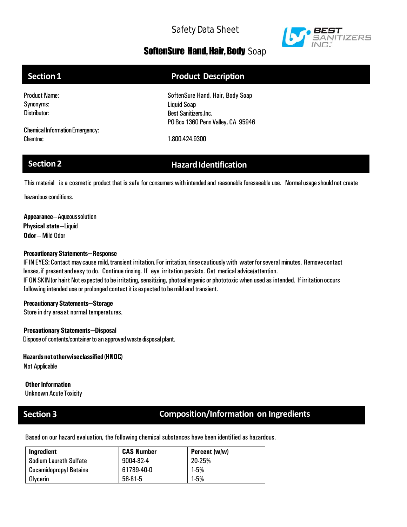

## SoftenSure Hand, Hair, Body Soap

| Section 1                              | <b>Product Description</b>        |
|----------------------------------------|-----------------------------------|
| <b>Product Name:</b>                   | SoftenSure Hand, Hair, Body Soap  |
| Synonyms:                              | Liquid Soap                       |
| Distributor:                           | <b>Best Sanitizers, Inc.</b>      |
|                                        | PO Box 1360 Penn Valley, CA 95946 |
| <b>Chemical Information Emergency:</b> |                                   |
| Chemtrec                               | 1.800.424.9300                    |

# **Section 2 Hazard Identification**

This material is a cosmetic product that is safe for consumers with intended and reasonable foreseeable use. Normal usage should not create

hazardous conditions.

**Appearance**—Aqueoussolution **Physical state**—Liquid **Odor**— Mild Odor

### **PrecautionaryStatements—Response**

IF IN EYES: Contact maycause mild,transient irritation.For irritation,rinsecautiouslywith waterforseveral minutes. Removecontact lenses, if present and easy to do. Continue rinsing. If eye irritation persists. Get medical advice/attention. IFON SKIN (or hair): Not expected to be irritating, sensitizing, photoallergenic or phototoxic when used as intended. If irritation occurs following intended use or prolonged contact it is expected to be mild and transient.

### **PrecautionaryStatements—Storage**

Store in dry area at normal temperatures.

### **Precautionary Statements—Disposal**

Dispose of contents/container to an approved waste disposal plant.

### **Hazardsnototherwiseclassified(HNOC)**

Not Applicable

## **Other Information**

**Unknown Acute Toxicity** 

## **Section 3 Composition/Information on Ingredients**

Based on our hazard evaluation, the following chemical substances have been identified as hazardous.

| Ingredient                    | <b>CAS Number</b> | Percent (w/w) |
|-------------------------------|-------------------|---------------|
| <b>Sodium Laureth Sulfate</b> | 9004-82-4         | 20-25%        |
| <b>Cocamidopropyl Betaine</b> | 61789-40-0        | $1-5%$        |
| Glycerin                      | 56-81-5           | $1-5%$        |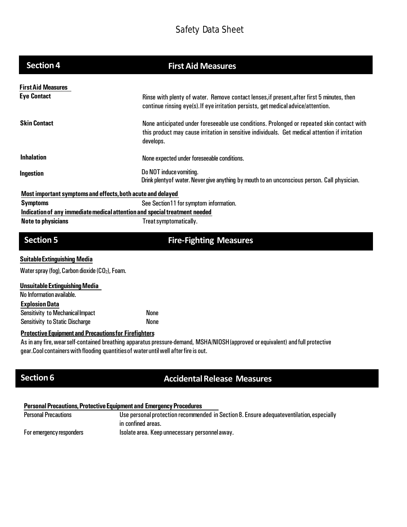| <b>Section 4</b>                                                                                                                                      | <b>First Aid Measures</b>                                                                                                                                                                                  |
|-------------------------------------------------------------------------------------------------------------------------------------------------------|------------------------------------------------------------------------------------------------------------------------------------------------------------------------------------------------------------|
| <b>First Aid Measures</b>                                                                                                                             |                                                                                                                                                                                                            |
| <b>Eye Contact</b>                                                                                                                                    | Rinse with plenty of water. Remove contact lenses, if present, after first 5 minutes, then<br>continue rinsing eye(s). If eye irritation persists, get medical advice/attention.                           |
| <b>Skin Contact</b>                                                                                                                                   | None anticipated under foreseeable use conditions. Prolonged or repeated skin contact with<br>this product may cause irritation in sensitive individuals. Get medical attention if irritation<br>develops. |
| <b>Inhalation</b>                                                                                                                                     | None expected under foreseeable conditions.                                                                                                                                                                |
| Ingestion                                                                                                                                             | Do NOT induce vomiting.<br>Drink plenty of water. Never give anything by mouth to an unconscious person. Call physician.                                                                                   |
| Most important symptoms and effects, both acute and delayed                                                                                           |                                                                                                                                                                                                            |
| <b>Symptoms</b>                                                                                                                                       | See Section11 for symptom information.                                                                                                                                                                     |
| Indication of any immediate medical attention and special treatment needed                                                                            |                                                                                                                                                                                                            |
| <b>Note to physicians</b>                                                                                                                             | Treat symptomatically.                                                                                                                                                                                     |
| <b>Section 5</b>                                                                                                                                      | <b>Fire-Fighting Measures</b>                                                                                                                                                                              |
| <b>Suitable Extinguishing Media</b>                                                                                                                   |                                                                                                                                                                                                            |
| Water spray (fog), Carbon dioxide (CO <sub>2</sub> ), Foam.                                                                                           |                                                                                                                                                                                                            |
| <b>Unsuitable Extinguishing Media</b><br>No Information available.                                                                                    |                                                                                                                                                                                                            |
| <b>Explosion Data</b>                                                                                                                                 | <b>None</b>                                                                                                                                                                                                |
| <b>Sensitivity to Mechanical Impact</b><br><b>Sensitivity to Static Discharge</b>                                                                     | None                                                                                                                                                                                                       |
| <b>Protective Equipment and Precautions for Firefighters</b><br>gear. Cool containers with flooding quantities of water until well after fire is out. | As in any fire, wear self-contained breathing apparatus pressure-demand, MSHA/NIOSH (approved or equivalent) and full protective                                                                           |
| <b>Section 6</b>                                                                                                                                      | <b>Accidental Release Measures</b>                                                                                                                                                                         |

## **Personal Precautions,Protective Equipment and Emergency Procedures**

| <b>Personal Precautions</b> | Use personal protection recommended in Section 8. Ensure adequateventilation, especially |  |
|-----------------------------|------------------------------------------------------------------------------------------|--|
|                             | in confined areas.                                                                       |  |
| For emergency responders    | Isolate area. Keep unnecessary personnel away.                                           |  |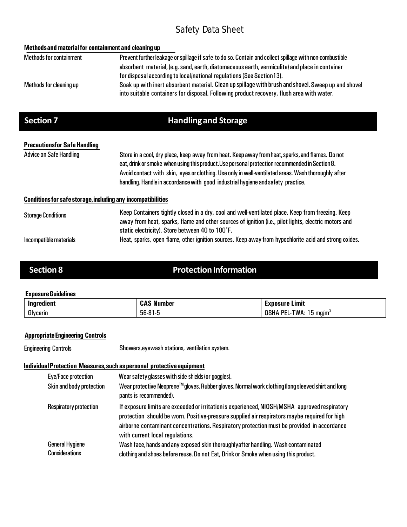| Methods and material for containment and cleaning up                                                                                                                                             |
|--------------------------------------------------------------------------------------------------------------------------------------------------------------------------------------------------|
| Prevent further leakage or spillage if safe to do so. Contain and collect spillage with non-combustible                                                                                          |
| absorbent material, (e.g. sand, earth, diatomaceous earth, vermiculite) and place in container                                                                                                   |
| for disposal according to local/national regulations (See Section 13).                                                                                                                           |
| Soak up with inert absorbent material. Clean up spillage with brush and shovel. Sweep up and shovel<br>into suitable containers for disposal. Following product recovery, flush area with water. |
| <b>Handling and Storage</b>                                                                                                                                                                      |
|                                                                                                                                                                                                  |
| Store in a cool, dry place, keep away from heat. Keep away from heat, sparks, and flames. Do not                                                                                                 |
| eat, drink or smoke when using this product. Use personal protection recommended in Section 8.                                                                                                   |
| Avoid contact with skin, eyes or clothing. Use only in well-ventilated areas. Wash thoroughly after                                                                                              |
| handling. Handle in accordance with good industrial hygiene and safety practice.                                                                                                                 |
| <b>Conditions for safe storage, including any incompatibilities</b>                                                                                                                              |
| Keep Containers tightly closed in a dry, cool and well-ventilated place. Keep from freezing. Keep                                                                                                |
| away from heat, sparks, flame and other sources of ignition (i.e., pilot lights, electric motors and                                                                                             |
| static electricity). Store between 40 to 100°F.                                                                                                                                                  |
| Heat, sparks, open flame, other ignition sources. Keep away from hypochlorite acid and strong oxides.                                                                                            |
|                                                                                                                                                                                                  |

# **Section 8 22 Protection Information**

## **ExposureGuidelines**

| Ingredient | <b>Number</b><br>.  | $\blacksquare$<br>Lımıt<br><b>Exposure</b> |
|------------|---------------------|--------------------------------------------|
| Glycerin   | bb∙t<br>.<br>טיו שי | ™Δ·<br>DE.<br>, ma/m'<br>'n.<br>٦.         |

## **AppropriateEngineering Controls**

Engineering Controls Showers,eyewash stations, ventilation system.

## **Individual Protection Measures, such as personal protective equipment**

| Eye/Face protection                      | Wear safety glasses with side shields (or goggles).                                                                                                                                                                                                                                                                             |
|------------------------------------------|---------------------------------------------------------------------------------------------------------------------------------------------------------------------------------------------------------------------------------------------------------------------------------------------------------------------------------|
| Skin and body protection                 | Wear protective Neoprene™gloves. Rubber gloves. Normal work clothing (long sleeved shirt and long<br>pants is recommended).                                                                                                                                                                                                     |
| Respiratory protection                   | If exposure limits are exceeded or irritation is experienced, NIOSH/MSHA approved respiratory<br>protection should be worn. Positive-pressure supplied air respirators maybe required for high<br>airborne contaminant concentrations. Respiratory protection must be provided in accordance<br>with current local regulations. |
| General Hygiene<br><b>Considerations</b> | Wash face, hands and any exposed skin thoroughly after handling. Wash contaminated<br>clothing and shoes before reuse. Do not Eat, Drink or Smoke when using this product.                                                                                                                                                      |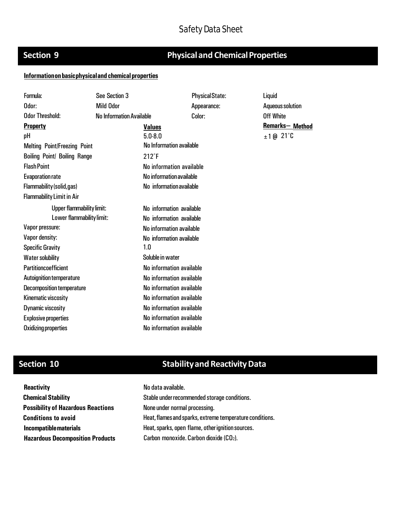# **Section 9 22 Physical and Chemical Properties**

### **Informationonbasicphysicaland chemicalproperties**

| Formula:                            | See Section 3                   |                                 | <b>Physical State:</b> | Liquid           |
|-------------------------------------|---------------------------------|---------------------------------|------------------------|------------------|
| Odor:                               | <b>Mild Odor</b>                |                                 | Appearance:            | Aqueous solution |
| <b>Odor Threshold:</b>              | <b>No Information Available</b> |                                 | Color:                 | <b>Off White</b> |
| <b>Property</b>                     |                                 | <b>Values</b>                   |                        | Remarks-Method   |
| pH                                  |                                 | $5.0 - 8.0$                     |                        | $±1@21^{\circ}C$ |
| <b>Melting Point/Freezing Point</b> |                                 | <b>No Information available</b> |                        |                  |
| <b>Boiling Point/ Boiling Range</b> |                                 | $212^{\circ}F$                  |                        |                  |
| <b>Flash Point</b>                  |                                 | No information available        |                        |                  |
| <b>Evaporation rate</b>             |                                 | No information available        |                        |                  |
| Flammability (solid, gas)           |                                 | No information available        |                        |                  |
| <b>Flammability Limit in Air</b>    |                                 |                                 |                        |                  |
| <b>Upper flammability limit:</b>    |                                 | No information available        |                        |                  |
| Lower flammability limit:           |                                 | No information available        |                        |                  |
| Vapor pressure:                     |                                 | No information available        |                        |                  |
| Vapor density:                      |                                 | No information available        |                        |                  |
| <b>Specific Gravity</b>             |                                 | 1.0                             |                        |                  |
| <b>Water solubility</b>             |                                 | Soluble in water                |                        |                  |
| <b>Partitioncoefficient</b>         |                                 | No information available        |                        |                  |
| Autoignition temperature            |                                 | No information available        |                        |                  |
| <b>Decomposition temperature</b>    |                                 | No information available        |                        |                  |
| Kinematic viscosity                 |                                 | No information available        |                        |                  |
| <b>Dynamic viscosity</b>            |                                 | No information available        |                        |                  |
| <b>Explosive properties</b>         |                                 | No information available        |                        |                  |
| Oxidizing properties                |                                 | No information available        |                        |                  |

No data available.

# **Section 10 Stability and Reactivity Data**

| <b>Reactivity</b>                         |
|-------------------------------------------|
| <b>Chemical Stability</b>                 |
| <b>Possibility of Hazardous Reactions</b> |
| <b>Conditions to avoid</b>                |
| <b>Incompatible materials</b>             |
| <b>Hazardous Decomposition Products</b>   |

Stable under recommended storage conditions. None under normal processing. Heat, flames and sparks, extreme temperature conditions. Heat, sparks, open flame, other ignition sources. Carbon monoxide. Carbon dioxide (CO2).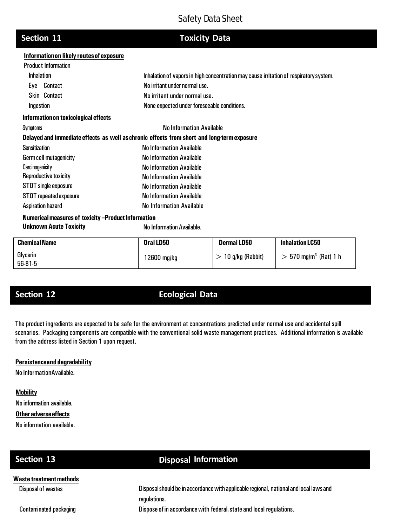## **Section 11**

**Toxicity Data**

### **Informationon likely routesofexposure**

| <b>Product Information</b>                                                                 |                                                                                        |  |  |
|--------------------------------------------------------------------------------------------|----------------------------------------------------------------------------------------|--|--|
| <b>Inhalation</b>                                                                          | Inhalation of vapors in high concentration may cause irritation of respiratory system. |  |  |
| Contact<br>Eye                                                                             | No irritant under normal use.                                                          |  |  |
| <b>Skin</b> Contact                                                                        | No irritant under normal use.                                                          |  |  |
| Ingestion                                                                                  | None expected under foreseeable conditions.                                            |  |  |
| Information on toxicological effects                                                       |                                                                                        |  |  |
| Symptoms                                                                                   | <b>No Information Available</b>                                                        |  |  |
| Delayed and immediate effects as well as chronic effects from short and long-term exposure |                                                                                        |  |  |
| <b>Sensitization</b>                                                                       | <b>No Information Available</b>                                                        |  |  |
| Germ cell mutagenicity                                                                     | No Information Available                                                               |  |  |
| Carcinogenicity                                                                            | <b>No Information Available</b>                                                        |  |  |
| Reproductive toxicity                                                                      | No Information Available                                                               |  |  |
| STOT single exposure                                                                       | <b>No Information Available</b>                                                        |  |  |
| STOT repeated exposure                                                                     | <b>No Information Available</b>                                                        |  |  |
| Aspiration hazard                                                                          | <b>No Information Available</b>                                                        |  |  |
| Numerical measures of toxicity -Product Information                                        |                                                                                        |  |  |
| <b>Unknown Acute Toxicity</b>                                                              | <b>No Information Available.</b>                                                       |  |  |

| <b>Chemical Name</b>  | Oral LD50   | <b>Dermal LD50</b> | <b>Inhalation LC50</b>              |
|-----------------------|-------------|--------------------|-------------------------------------|
| Glycerin<br>$56-81-5$ | 12600 mg/kg | 10 g/kg (Rabbit)   | $> 570$ mg/m <sup>3</sup> (Rat) 1 h |

# **Section 12 Ecological Data**

The product ingredients are expected to be safe for the environment at concentrations predicted under normal use and accidental spill scenarios. Packaging components are compatible with the conventional solid waste management practices. Additional information is available from the address listed in Section 1 upon request.

## **Persistenceand degradability**

No InformationAvailable.

## **Mobility**

No information available.

## **Other adverse effects**

No information available.

**Waste treatmentmethods** Disposal of wastes

Contaminated packaging

# **Section 13 Disposal Information**

Disposal should be in accordance with applicable regional, national and local laws and regulations. Dispose of in accordance with federal, state and local regulations.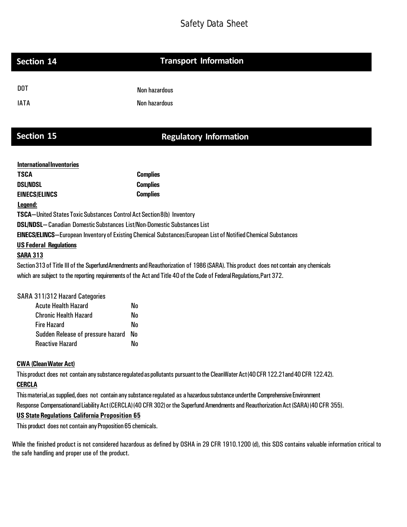## **Section 14 Transport Information**

| DOT. | Non hazardous |
|------|---------------|
| IATA | Non hazardous |

# **Section 15 Regulatory Information**

| <b>International Inventories</b>                                               |                                                                                                                                     |  |  |  |  |  |
|--------------------------------------------------------------------------------|-------------------------------------------------------------------------------------------------------------------------------------|--|--|--|--|--|
| <b>TSCA</b>                                                                    | <b>Complies</b>                                                                                                                     |  |  |  |  |  |
| <b>DSL/NDSL</b>                                                                | <b>Complies</b>                                                                                                                     |  |  |  |  |  |
| <b>EINECS/ELINCS</b>                                                           | <b>Complies</b>                                                                                                                     |  |  |  |  |  |
| Legend:                                                                        |                                                                                                                                     |  |  |  |  |  |
| <b>TSCA</b> —United States Toxic Substances Control Act Section 8(b) Inventory |                                                                                                                                     |  |  |  |  |  |
| <b>DSL/NDSL-Canadian Domestic Substances List/Non-Domestic Substances List</b> |                                                                                                                                     |  |  |  |  |  |
|                                                                                | <b>EINECS/ELINCS—European Inventory of Existing Chemical Substances/European List of Notified Chemical Substances</b>               |  |  |  |  |  |
| <b>US Federal Regulations</b>                                                  |                                                                                                                                     |  |  |  |  |  |
| <b>SARA 313</b>                                                                |                                                                                                                                     |  |  |  |  |  |
|                                                                                | Section 313 of Title III of the SuperfundAmendments and Reauthorization of 1986 (SARA). This product does not contain any chemicals |  |  |  |  |  |
|                                                                                | which are subject to the reporting requirements of the Act and Title 40 of the Code of Federal Regulations, Part 372.               |  |  |  |  |  |
| SARA 311/312 Hazard Categories                                                 |                                                                                                                                     |  |  |  |  |  |

| TH JTT/JTZ NAZAIU GALEYUNES       |    |
|-----------------------------------|----|
| <b>Acute Health Hazard</b>        | Nn |
| <b>Chronic Health Hazard</b>      | No |
| Fire Hazard                       | Nn |
| Sudden Release of pressure hazard | No |
| <b>Reactive Hazard</b>            | Ν٨ |

## **CWA (CleanWaterAct)**

This product does not contain any substance regulatedas pollutants pursuant to the CleanWater Act (40 CFR 122.21and 40 CFR 122.42).

## **CERCLA**

This material, as supplied, does not contain any substance regulated as a hazardous substance underthe Comprehensive Environment Response Compensationand Liability Act (CERCLA)(40 CFR 302) or the Superfund Amendments and Reauthorization Act (SARA) (40 CFR 355).

## **US State Regulations California Proposition 65**

This product does not contain any Proposition 65 chemicals.

While the finished product is not considered hazardous as defined by OSHA in 29 CFR 1910.1200 (d), this SDS contains valuable information critical to the safe handling and proper use of the product.